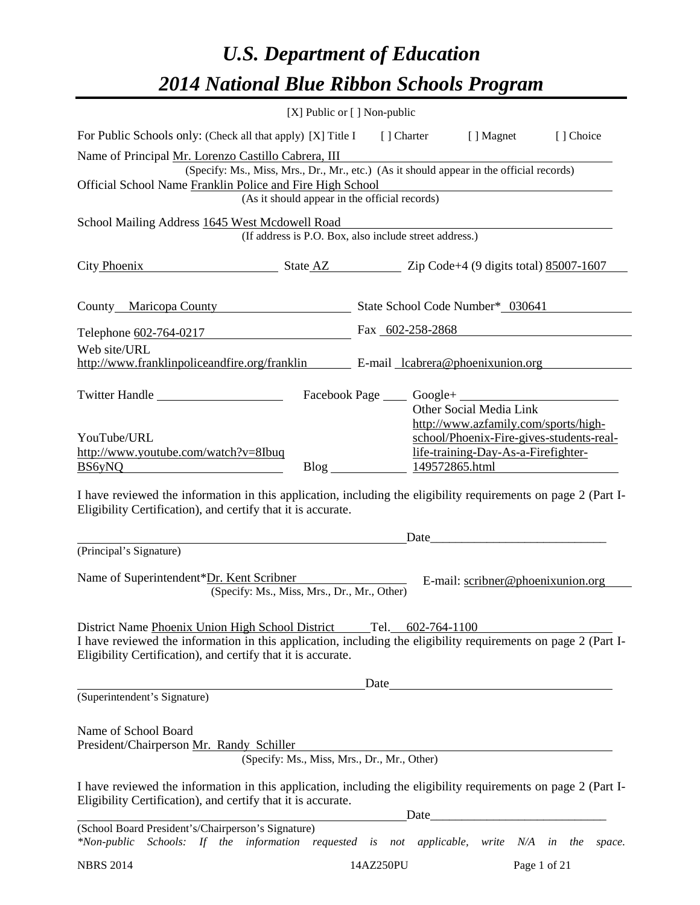# *U.S. Department of Education 2014 National Blue Ribbon Schools Program*

|                                                                                                                                                                                                                                                      | [X] Public or [] Non-public                            |           |                                      |                                                          |                                          |  |  |  |
|------------------------------------------------------------------------------------------------------------------------------------------------------------------------------------------------------------------------------------------------------|--------------------------------------------------------|-----------|--------------------------------------|----------------------------------------------------------|------------------------------------------|--|--|--|
| For Public Schools only: (Check all that apply) [X] Title I [] Charter [] Magnet                                                                                                                                                                     |                                                        |           |                                      |                                                          | [ ] Choice                               |  |  |  |
| Name of Principal Mr. Lorenzo Castillo Cabrera, III<br>(Specify: Ms., Miss, Mrs., Dr., Mr., etc.) (As it should appear in the official records)                                                                                                      |                                                        |           |                                      |                                                          |                                          |  |  |  |
| Official School Name Franklin Police and Fire High School                                                                                                                                                                                            |                                                        |           |                                      |                                                          |                                          |  |  |  |
| (As it should appear in the official records)                                                                                                                                                                                                        |                                                        |           |                                      |                                                          |                                          |  |  |  |
| School Mailing Address 1645 West Mcdowell Road                                                                                                                                                                                                       | (If address is P.O. Box, also include street address.) |           |                                      |                                                          |                                          |  |  |  |
| City Phoenix<br>$\frac{1}{2}$ State AZ $\frac{1}{2}$ Zip Code+4 (9 digits total) 85007-1607                                                                                                                                                          |                                                        |           |                                      |                                                          |                                          |  |  |  |
| County Maricopa County State School Code Number* 030641                                                                                                                                                                                              |                                                        |           |                                      |                                                          |                                          |  |  |  |
| Telephone 602-764-0217                                                                                                                                                                                                                               |                                                        |           |                                      | Fax 602-258-2868                                         |                                          |  |  |  |
| Web site/URL<br>http://www.franklinpoliceandfire.org/franklin E-mail cabrera@phoenixunion.org                                                                                                                                                        |                                                        |           |                                      |                                                          |                                          |  |  |  |
| Twitter Handle                                                                                                                                                                                                                                       |                                                        |           | Facebook Page _____ Google+ ________ | Other Social Media Link                                  |                                          |  |  |  |
| YouTube/URL                                                                                                                                                                                                                                          |                                                        |           |                                      | http://www.azfamily.com/sports/high-                     | school/Phoenix-Fire-gives-students-real- |  |  |  |
| http://www.youtube.com/watch?v=8Ibuq                                                                                                                                                                                                                 |                                                        |           |                                      | life-training-Day-As-a-Firefighter-                      |                                          |  |  |  |
| <b>BS6yNQ</b>                                                                                                                                                                                                                                        |                                                        |           |                                      | Blog 149572865.html                                      |                                          |  |  |  |
| I have reviewed the information in this application, including the eligibility requirements on page 2 (Part I-<br>Eligibility Certification), and certify that it is accurate.                                                                       |                                                        |           |                                      |                                                          |                                          |  |  |  |
|                                                                                                                                                                                                                                                      |                                                        |           |                                      |                                                          |                                          |  |  |  |
| (Principal's Signature)                                                                                                                                                                                                                              |                                                        |           |                                      |                                                          |                                          |  |  |  |
| Name of Superintendent*Dr. Kent Scribner                                                                                                                                                                                                             | (Specify: Ms., Miss, Mrs., Dr., Mr., Other)            |           |                                      | E-mail: scribner@phoenixunion.org                        |                                          |  |  |  |
| District Name Phoenix Union High School District Tel. 602-764-1100<br>I have reviewed the information in this application, including the eligibility requirements on page 2 (Part I-<br>Eligibility Certification), and certify that it is accurate. |                                                        |           |                                      |                                                          |                                          |  |  |  |
|                                                                                                                                                                                                                                                      |                                                        | Date      |                                      |                                                          |                                          |  |  |  |
| (Superintendent's Signature)                                                                                                                                                                                                                         |                                                        |           |                                      |                                                          |                                          |  |  |  |
| Name of School Board<br>President/Chairperson Mr. Randy Schiller                                                                                                                                                                                     | (Specify: Ms., Miss, Mrs., Dr., Mr., Other)            |           |                                      |                                                          |                                          |  |  |  |
| I have reviewed the information in this application, including the eligibility requirements on page 2 (Part I-<br>Eligibility Certification), and certify that it is accurate.                                                                       |                                                        |           | Date                                 | <u> 1980 - Johann John Stone, mars eta biztanleria (</u> |                                          |  |  |  |
| (School Board President's/Chairperson's Signature)<br>Schools: If the information requested is not applicable, write N/A in the space.<br>$*Non-public$                                                                                              |                                                        |           |                                      |                                                          |                                          |  |  |  |
| <b>NBRS 2014</b>                                                                                                                                                                                                                                     |                                                        | 14AZ250PU |                                      |                                                          | Page 1 of 21                             |  |  |  |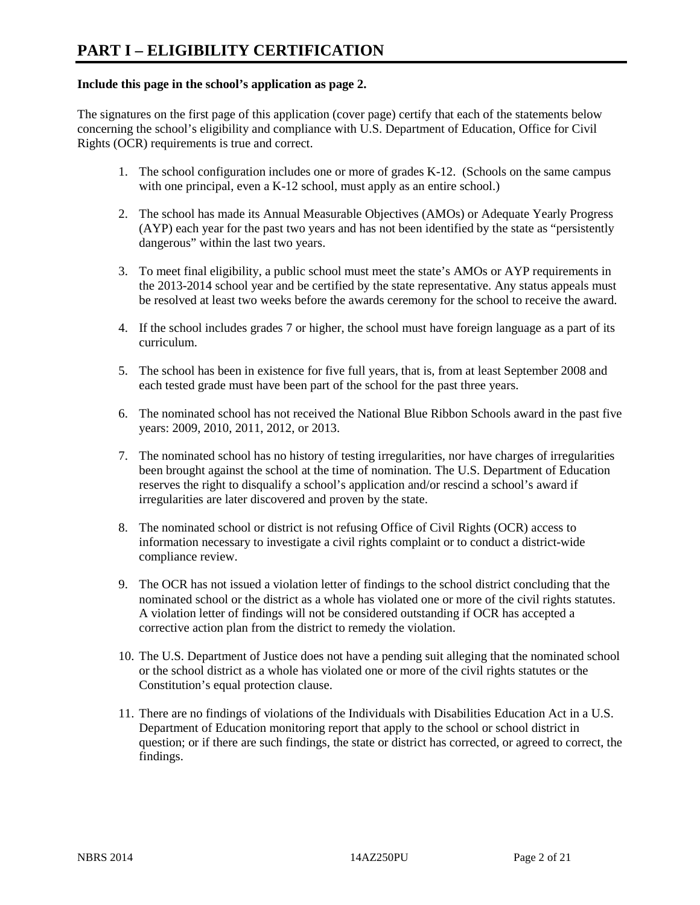#### **Include this page in the school's application as page 2.**

The signatures on the first page of this application (cover page) certify that each of the statements below concerning the school's eligibility and compliance with U.S. Department of Education, Office for Civil Rights (OCR) requirements is true and correct.

- 1. The school configuration includes one or more of grades K-12. (Schools on the same campus with one principal, even a K-12 school, must apply as an entire school.)
- 2. The school has made its Annual Measurable Objectives (AMOs) or Adequate Yearly Progress (AYP) each year for the past two years and has not been identified by the state as "persistently dangerous" within the last two years.
- 3. To meet final eligibility, a public school must meet the state's AMOs or AYP requirements in the 2013-2014 school year and be certified by the state representative. Any status appeals must be resolved at least two weeks before the awards ceremony for the school to receive the award.
- 4. If the school includes grades 7 or higher, the school must have foreign language as a part of its curriculum.
- 5. The school has been in existence for five full years, that is, from at least September 2008 and each tested grade must have been part of the school for the past three years.
- 6. The nominated school has not received the National Blue Ribbon Schools award in the past five years: 2009, 2010, 2011, 2012, or 2013.
- 7. The nominated school has no history of testing irregularities, nor have charges of irregularities been brought against the school at the time of nomination. The U.S. Department of Education reserves the right to disqualify a school's application and/or rescind a school's award if irregularities are later discovered and proven by the state.
- 8. The nominated school or district is not refusing Office of Civil Rights (OCR) access to information necessary to investigate a civil rights complaint or to conduct a district-wide compliance review.
- 9. The OCR has not issued a violation letter of findings to the school district concluding that the nominated school or the district as a whole has violated one or more of the civil rights statutes. A violation letter of findings will not be considered outstanding if OCR has accepted a corrective action plan from the district to remedy the violation.
- 10. The U.S. Department of Justice does not have a pending suit alleging that the nominated school or the school district as a whole has violated one or more of the civil rights statutes or the Constitution's equal protection clause.
- 11. There are no findings of violations of the Individuals with Disabilities Education Act in a U.S. Department of Education monitoring report that apply to the school or school district in question; or if there are such findings, the state or district has corrected, or agreed to correct, the findings.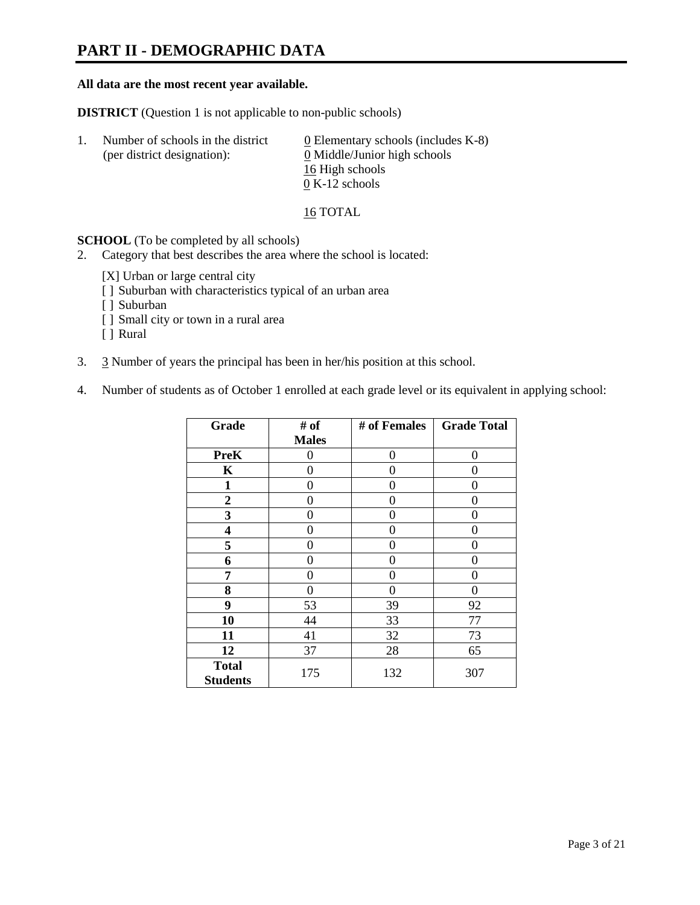# **PART II - DEMOGRAPHIC DATA**

#### **All data are the most recent year available.**

**DISTRICT** (Question 1 is not applicable to non-public schools)

| -1. | Number of schools in the district<br>(per district designation): | $\underline{0}$ Elementary schools (includes K-8)<br>0 Middle/Junior high schools |
|-----|------------------------------------------------------------------|-----------------------------------------------------------------------------------|
|     |                                                                  | 16 High schools                                                                   |
|     |                                                                  | $0 K-12$ schools                                                                  |

16 TOTAL

**SCHOOL** (To be completed by all schools)

- 2. Category that best describes the area where the school is located:
	- [X] Urban or large central city
	- [ ] Suburban with characteristics typical of an urban area
	- [ ] Suburban
	- [ ] Small city or town in a rural area
	- [ ] Rural
- 3. 3 Number of years the principal has been in her/his position at this school.
- 4. Number of students as of October 1 enrolled at each grade level or its equivalent in applying school:

| Grade                           | # of         | # of Females | <b>Grade Total</b> |
|---------------------------------|--------------|--------------|--------------------|
|                                 | <b>Males</b> |              |                    |
| <b>PreK</b>                     | 0            | 0            | 0                  |
| K                               | 0            | 0            | 0                  |
| $\mathbf{1}$                    | 0            | 0            | 0                  |
| $\overline{2}$                  | 0            | 0            | 0                  |
| 3                               | 0            | 0            | 0                  |
| 4                               | 0            | 0            | 0                  |
| 5                               | 0            | 0            | 0                  |
| 6                               | 0            | 0            | 0                  |
| 7                               | 0            | 0            | 0                  |
| 8                               | 0            | 0            | 0                  |
| 9                               | 53           | 39           | 92                 |
| 10                              | 44           | 33           | 77                 |
| 11                              | 41           | 32           | 73                 |
| 12                              | 37           | 28           | 65                 |
| <b>Total</b><br><b>Students</b> | 175          | 132          | 307                |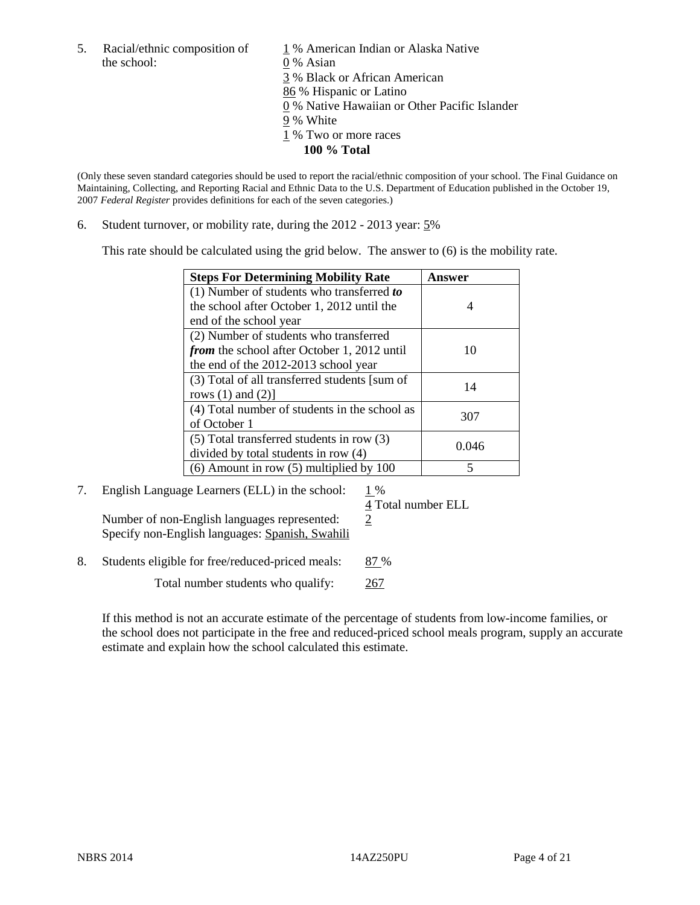the school: 0 % Asian

5. Racial/ethnic composition of  $1\%$  American Indian or Alaska Native 3 % Black or African American 86 % Hispanic or Latino 0 % Native Hawaiian or Other Pacific Islander 9 % White 1 % Two or more races **100 % Total** 

(Only these seven standard categories should be used to report the racial/ethnic composition of your school. The Final Guidance on Maintaining, Collecting, and Reporting Racial and Ethnic Data to the U.S. Department of Education published in the October 19, 2007 *Federal Register* provides definitions for each of the seven categories.)

6. Student turnover, or mobility rate, during the 2012 - 2013 year: 5%

This rate should be calculated using the grid below. The answer to (6) is the mobility rate.

| <b>Steps For Determining Mobility Rate</b>         | <b>Answer</b> |
|----------------------------------------------------|---------------|
| (1) Number of students who transferred to          |               |
| the school after October 1, 2012 until the         | 4             |
| end of the school year                             |               |
| (2) Number of students who transferred             |               |
| <i>from</i> the school after October 1, 2012 until | 10            |
| the end of the 2012-2013 school year               |               |
| (3) Total of all transferred students [sum of      | 14            |
| rows $(1)$ and $(2)$ ]                             |               |
| (4) Total number of students in the school as      | 307           |
| of October 1                                       |               |
| $(5)$ Total transferred students in row $(3)$      | 0.046         |
| divided by total students in row (4)               |               |
| $(6)$ Amount in row $(5)$ multiplied by 100        |               |

7. English Language Learners (ELL) in the school:  $1\%$ 

 4 Total number ELL Number of non-English languages represented:  $2$ Specify non-English languages: Spanish, Swahili

8. Students eligible for free/reduced-priced meals: 87 %

Total number students who qualify: 267

If this method is not an accurate estimate of the percentage of students from low-income families, or the school does not participate in the free and reduced-priced school meals program, supply an accurate estimate and explain how the school calculated this estimate.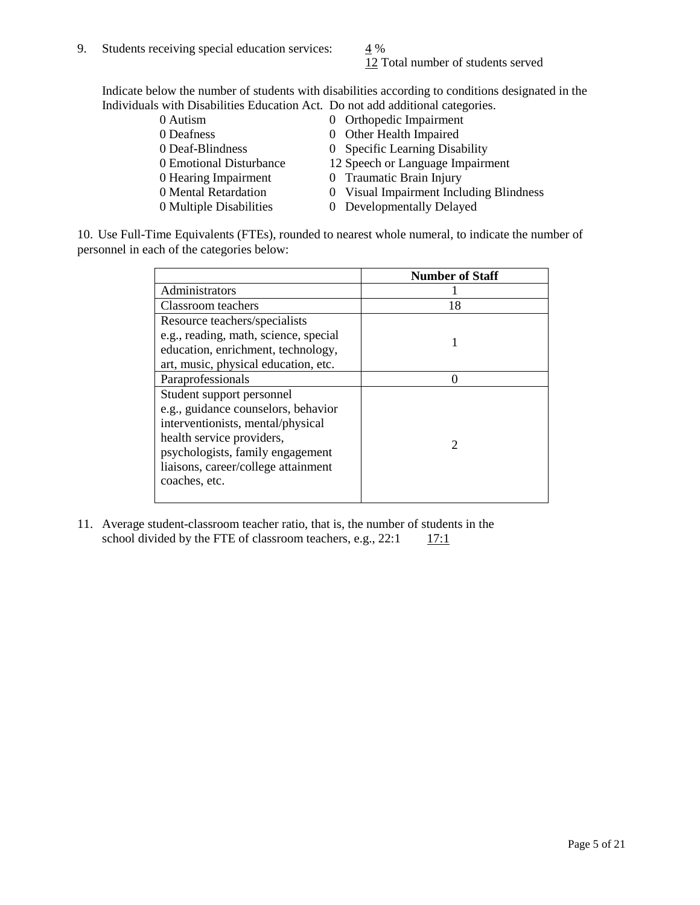12 Total number of students served

Indicate below the number of students with disabilities according to conditions designated in the Individuals with Disabilities Education Act. Do not add additional categories.

| 0 Autism                | 0 Orthopedic Impairment                 |
|-------------------------|-----------------------------------------|
| 0 Deafness              | 0 Other Health Impaired                 |
| 0 Deaf-Blindness        | 0 Specific Learning Disability          |
| 0 Emotional Disturbance | 12 Speech or Language Impairment        |
| 0 Hearing Impairment    | 0 Traumatic Brain Injury                |
| 0 Mental Retardation    | 0 Visual Impairment Including Blindness |
| 0 Multiple Disabilities | 0 Developmentally Delayed               |
|                         |                                         |

10. Use Full-Time Equivalents (FTEs), rounded to nearest whole numeral, to indicate the number of personnel in each of the categories below:

|                                       | <b>Number of Staff</b> |
|---------------------------------------|------------------------|
| Administrators                        |                        |
| Classroom teachers                    | 18                     |
| Resource teachers/specialists         |                        |
| e.g., reading, math, science, special |                        |
| education, enrichment, technology,    |                        |
| art, music, physical education, etc.  |                        |
| Paraprofessionals                     |                        |
| Student support personnel             |                        |
| e.g., guidance counselors, behavior   |                        |
| interventionists, mental/physical     |                        |
| health service providers,             | 2                      |
| psychologists, family engagement      |                        |
| liaisons, career/college attainment   |                        |
| coaches, etc.                         |                        |
|                                       |                        |

11. Average student-classroom teacher ratio, that is, the number of students in the school divided by the FTE of classroom teachers, e.g.,  $22:1 \qquad 17:1$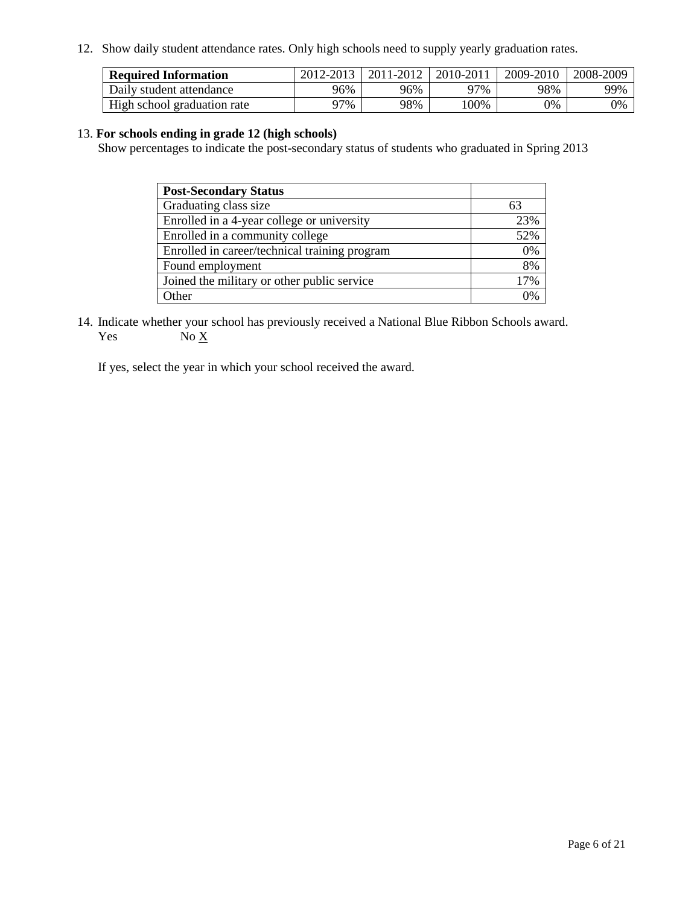12. Show daily student attendance rates. Only high schools need to supply yearly graduation rates.

| <b>Required Information</b> | 2012-2013 | 2011-2012 | 2010-2011 | 2009-2010 | 2008-2009 |
|-----------------------------|-----------|-----------|-----------|-----------|-----------|
| Daily student attendance    | 96%       | 96%       | 97%       | 98%       | 99%       |
| High school graduation rate | ว7%       | 98%       | 100%      | 0%        | 0%        |

#### 13. **For schools ending in grade 12 (high schools)**

Show percentages to indicate the post-secondary status of students who graduated in Spring 2013

| <b>Post-Secondary Status</b>                  |          |
|-----------------------------------------------|----------|
| Graduating class size                         | 63       |
| Enrolled in a 4-year college or university    | 23%      |
| Enrolled in a community college               | 52%      |
| Enrolled in career/technical training program | 0%       |
| Found employment                              | 8%       |
| Joined the military or other public service   | 17%      |
| <b>Other</b>                                  | $\gamma$ |

14. Indicate whether your school has previously received a National Blue Ribbon Schools award. Yes  $No \underline{X}$ 

If yes, select the year in which your school received the award.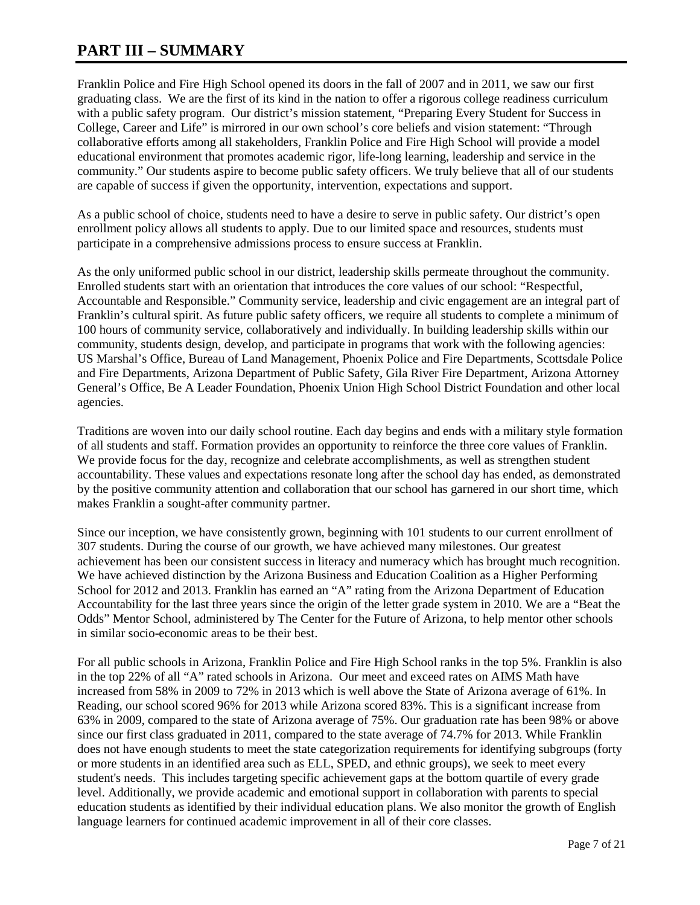# **PART III – SUMMARY**

Franklin Police and Fire High School opened its doors in the fall of 2007 and in 2011, we saw our first graduating class. We are the first of its kind in the nation to offer a rigorous college readiness curriculum with a public safety program. Our district's mission statement, "Preparing Every Student for Success in College, Career and Life" is mirrored in our own school's core beliefs and vision statement: "Through collaborative efforts among all stakeholders, Franklin Police and Fire High School will provide a model educational environment that promotes academic rigor, life-long learning, leadership and service in the community." Our students aspire to become public safety officers. We truly believe that all of our students are capable of success if given the opportunity, intervention, expectations and support.

As a public school of choice, students need to have a desire to serve in public safety. Our district's open enrollment policy allows all students to apply. Due to our limited space and resources, students must participate in a comprehensive admissions process to ensure success at Franklin.

As the only uniformed public school in our district, leadership skills permeate throughout the community. Enrolled students start with an orientation that introduces the core values of our school: "Respectful, Accountable and Responsible." Community service, leadership and civic engagement are an integral part of Franklin's cultural spirit. As future public safety officers, we require all students to complete a minimum of 100 hours of community service, collaboratively and individually. In building leadership skills within our community, students design, develop, and participate in programs that work with the following agencies: US Marshal's Office, Bureau of Land Management, Phoenix Police and Fire Departments, Scottsdale Police and Fire Departments, Arizona Department of Public Safety, Gila River Fire Department, Arizona Attorney General's Office, Be A Leader Foundation, Phoenix Union High School District Foundation and other local agencies.

Traditions are woven into our daily school routine. Each day begins and ends with a military style formation of all students and staff. Formation provides an opportunity to reinforce the three core values of Franklin. We provide focus for the day, recognize and celebrate accomplishments, as well as strengthen student accountability. These values and expectations resonate long after the school day has ended, as demonstrated by the positive community attention and collaboration that our school has garnered in our short time, which makes Franklin a sought-after community partner.

Since our inception, we have consistently grown, beginning with 101 students to our current enrollment of 307 students. During the course of our growth, we have achieved many milestones. Our greatest achievement has been our consistent success in literacy and numeracy which has brought much recognition. We have achieved distinction by the Arizona Business and Education Coalition as a Higher Performing School for 2012 and 2013. Franklin has earned an "A" rating from the Arizona Department of Education Accountability for the last three years since the origin of the letter grade system in 2010. We are a "Beat the Odds" Mentor School, administered by The Center for the Future of Arizona, to help mentor other schools in similar socio-economic areas to be their best.

For all public schools in Arizona, Franklin Police and Fire High School ranks in the top 5%. Franklin is also in the top 22% of all "A" rated schools in Arizona. Our meet and exceed rates on AIMS Math have increased from 58% in 2009 to 72% in 2013 which is well above the State of Arizona average of 61%. In Reading, our school scored 96% for 2013 while Arizona scored 83%. This is a significant increase from 63% in 2009, compared to the state of Arizona average of 75%. Our graduation rate has been 98% or above since our first class graduated in 2011, compared to the state average of 74.7% for 2013. While Franklin does not have enough students to meet the state categorization requirements for identifying subgroups (forty or more students in an identified area such as ELL, SPED, and ethnic groups), we seek to meet every student's needs. This includes targeting specific achievement gaps at the bottom quartile of every grade level. Additionally, we provide academic and emotional support in collaboration with parents to special education students as identified by their individual education plans. We also monitor the growth of English language learners for continued academic improvement in all of their core classes.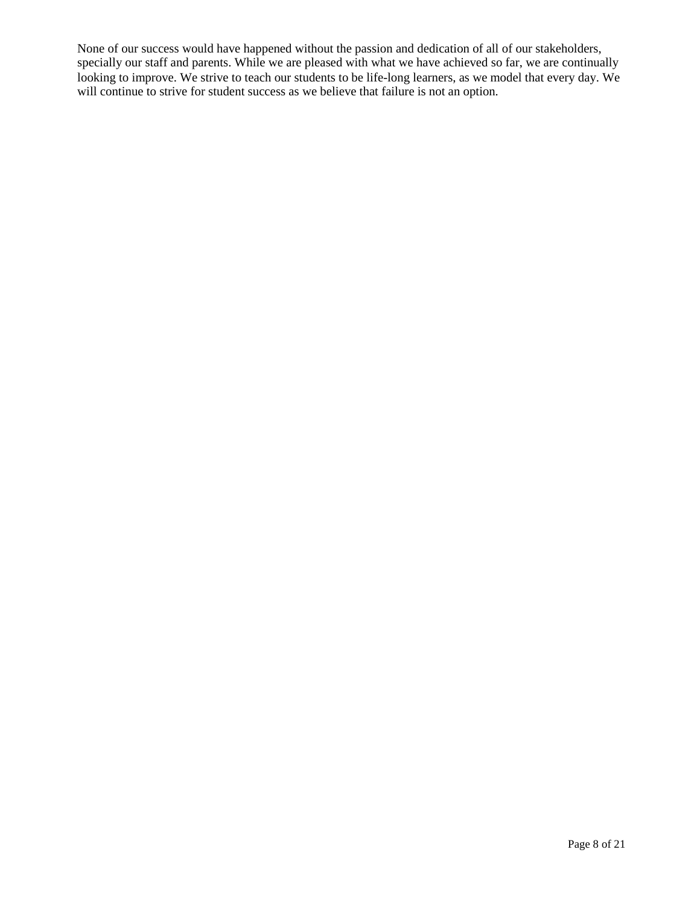None of our success would have happened without the passion and dedication of all of our stakeholders, specially our staff and parents. While we are pleased with what we have achieved so far, we are continually looking to improve. We strive to teach our students to be life-long learners, as we model that every day. We will continue to strive for student success as we believe that failure is not an option.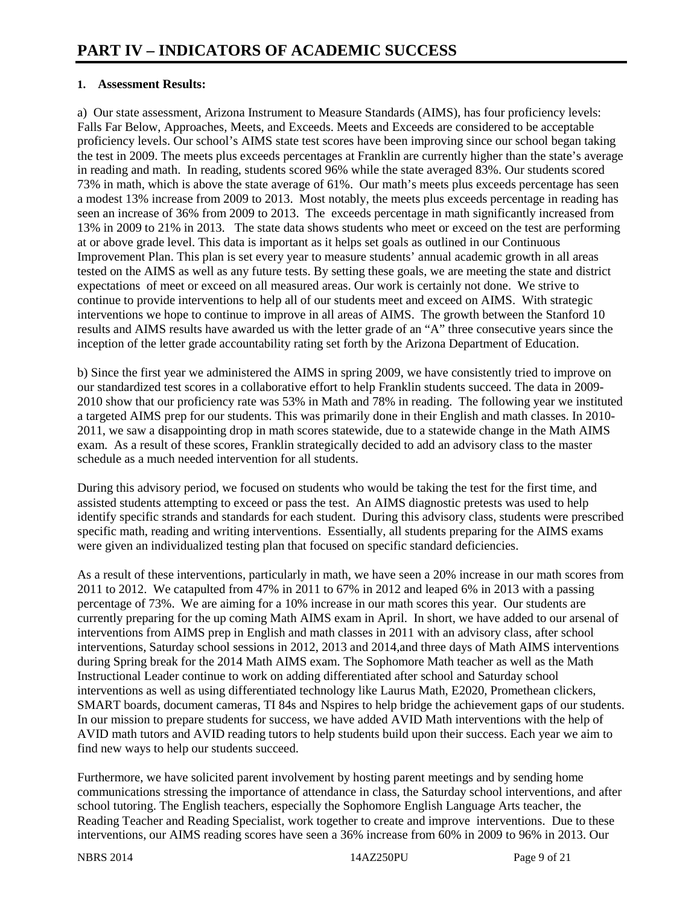#### **1. Assessment Results:**

a) Our state assessment, Arizona Instrument to Measure Standards (AIMS), has four proficiency levels: Falls Far Below, Approaches, Meets, and Exceeds. Meets and Exceeds are considered to be acceptable proficiency levels. Our school's AIMS state test scores have been improving since our school began taking the test in 2009. The meets plus exceeds percentages at Franklin are currently higher than the state's average in reading and math. In reading, students scored 96% while the state averaged 83%. Our students scored 73% in math, which is above the state average of 61%. Our math's meets plus exceeds percentage has seen a modest 13% increase from 2009 to 2013. Most notably, the meets plus exceeds percentage in reading has seen an increase of 36% from 2009 to 2013. The exceeds percentage in math significantly increased from 13% in 2009 to 21% in 2013. The state data shows students who meet or exceed on the test are performing at or above grade level. This data is important as it helps set goals as outlined in our Continuous Improvement Plan. This plan is set every year to measure students' annual academic growth in all areas tested on the AIMS as well as any future tests. By setting these goals, we are meeting the state and district expectations of meet or exceed on all measured areas. Our work is certainly not done. We strive to continue to provide interventions to help all of our students meet and exceed on AIMS. With strategic interventions we hope to continue to improve in all areas of AIMS. The growth between the Stanford 10 results and AIMS results have awarded us with the letter grade of an "A" three consecutive years since the inception of the letter grade accountability rating set forth by the Arizona Department of Education.

b) Since the first year we administered the AIMS in spring 2009, we have consistently tried to improve on our standardized test scores in a collaborative effort to help Franklin students succeed. The data in 2009- 2010 show that our proficiency rate was 53% in Math and 78% in reading. The following year we instituted a targeted AIMS prep for our students. This was primarily done in their English and math classes. In 2010- 2011, we saw a disappointing drop in math scores statewide, due to a statewide change in the Math AIMS exam. As a result of these scores, Franklin strategically decided to add an advisory class to the master schedule as a much needed intervention for all students.

During this advisory period, we focused on students who would be taking the test for the first time, and assisted students attempting to exceed or pass the test. An AIMS diagnostic pretests was used to help identify specific strands and standards for each student. During this advisory class, students were prescribed specific math, reading and writing interventions. Essentially, all students preparing for the AIMS exams were given an individualized testing plan that focused on specific standard deficiencies.

As a result of these interventions, particularly in math, we have seen a 20% increase in our math scores from 2011 to 2012. We catapulted from 47% in 2011 to 67% in 2012 and leaped 6% in 2013 with a passing percentage of 73%. We are aiming for a 10% increase in our math scores this year. Our students are currently preparing for the up coming Math AIMS exam in April. In short, we have added to our arsenal of interventions from AIMS prep in English and math classes in 2011 with an advisory class, after school interventions, Saturday school sessions in 2012, 2013 and 2014,and three days of Math AIMS interventions during Spring break for the 2014 Math AIMS exam. The Sophomore Math teacher as well as the Math Instructional Leader continue to work on adding differentiated after school and Saturday school interventions as well as using differentiated technology like Laurus Math, E2020, Promethean clickers, SMART boards, document cameras, TI 84s and Nspires to help bridge the achievement gaps of our students. In our mission to prepare students for success, we have added AVID Math interventions with the help of AVID math tutors and AVID reading tutors to help students build upon their success. Each year we aim to find new ways to help our students succeed.

Furthermore, we have solicited parent involvement by hosting parent meetings and by sending home communications stressing the importance of attendance in class, the Saturday school interventions, and after school tutoring. The English teachers, especially the Sophomore English Language Arts teacher, the Reading Teacher and Reading Specialist, work together to create and improve interventions. Due to these interventions, our AIMS reading scores have seen a 36% increase from 60% in 2009 to 96% in 2013. Our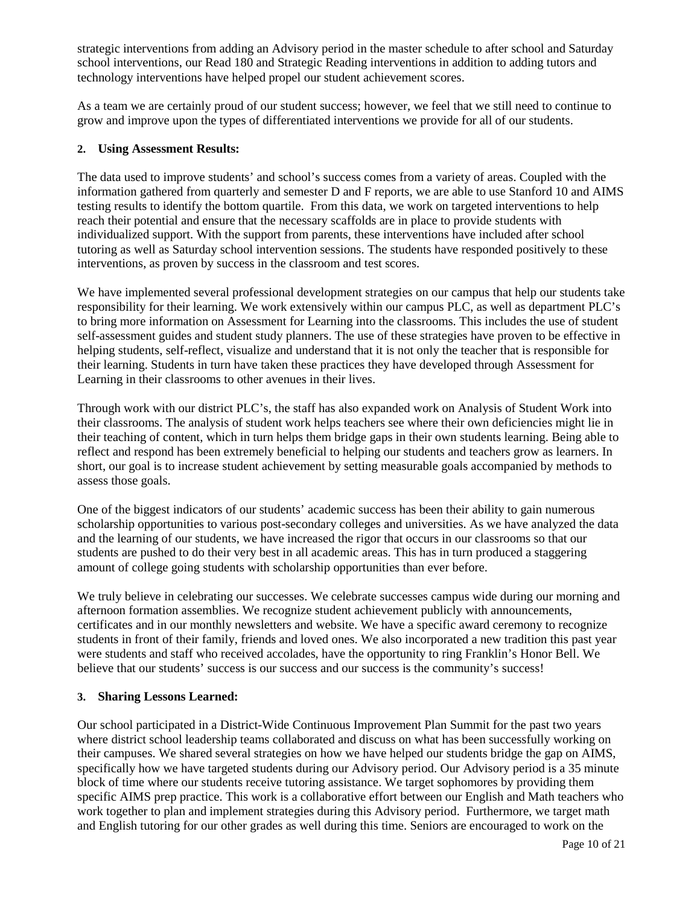strategic interventions from adding an Advisory period in the master schedule to after school and Saturday school interventions, our Read 180 and Strategic Reading interventions in addition to adding tutors and technology interventions have helped propel our student achievement scores.

As a team we are certainly proud of our student success; however, we feel that we still need to continue to grow and improve upon the types of differentiated interventions we provide for all of our students.

#### **2. Using Assessment Results:**

The data used to improve students' and school's success comes from a variety of areas. Coupled with the information gathered from quarterly and semester D and F reports, we are able to use Stanford 10 and AIMS testing results to identify the bottom quartile. From this data, we work on targeted interventions to help reach their potential and ensure that the necessary scaffolds are in place to provide students with individualized support. With the support from parents, these interventions have included after school tutoring as well as Saturday school intervention sessions. The students have responded positively to these interventions, as proven by success in the classroom and test scores.

We have implemented several professional development strategies on our campus that help our students take responsibility for their learning. We work extensively within our campus PLC, as well as department PLC's to bring more information on Assessment for Learning into the classrooms. This includes the use of student self-assessment guides and student study planners. The use of these strategies have proven to be effective in helping students, self-reflect, visualize and understand that it is not only the teacher that is responsible for their learning. Students in turn have taken these practices they have developed through Assessment for Learning in their classrooms to other avenues in their lives.

Through work with our district PLC's, the staff has also expanded work on Analysis of Student Work into their classrooms. The analysis of student work helps teachers see where their own deficiencies might lie in their teaching of content, which in turn helps them bridge gaps in their own students learning. Being able to reflect and respond has been extremely beneficial to helping our students and teachers grow as learners. In short, our goal is to increase student achievement by setting measurable goals accompanied by methods to assess those goals.

One of the biggest indicators of our students' academic success has been their ability to gain numerous scholarship opportunities to various post-secondary colleges and universities. As we have analyzed the data and the learning of our students, we have increased the rigor that occurs in our classrooms so that our students are pushed to do their very best in all academic areas. This has in turn produced a staggering amount of college going students with scholarship opportunities than ever before.

We truly believe in celebrating our successes. We celebrate successes campus wide during our morning and afternoon formation assemblies. We recognize student achievement publicly with announcements, certificates and in our monthly newsletters and website. We have a specific award ceremony to recognize students in front of their family, friends and loved ones. We also incorporated a new tradition this past year were students and staff who received accolades, have the opportunity to ring Franklin's Honor Bell. We believe that our students' success is our success and our success is the community's success!

#### **3. Sharing Lessons Learned:**

Our school participated in a District-Wide Continuous Improvement Plan Summit for the past two years where district school leadership teams collaborated and discuss on what has been successfully working on their campuses. We shared several strategies on how we have helped our students bridge the gap on AIMS, specifically how we have targeted students during our Advisory period. Our Advisory period is a 35 minute block of time where our students receive tutoring assistance. We target sophomores by providing them specific AIMS prep practice. This work is a collaborative effort between our English and Math teachers who work together to plan and implement strategies during this Advisory period. Furthermore, we target math and English tutoring for our other grades as well during this time. Seniors are encouraged to work on the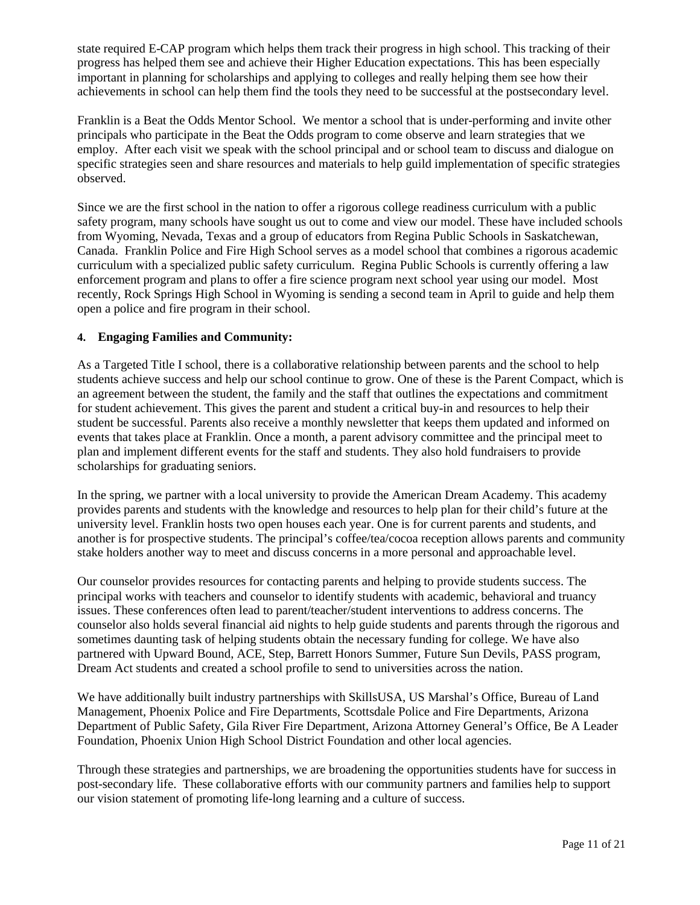state required E-CAP program which helps them track their progress in high school. This tracking of their progress has helped them see and achieve their Higher Education expectations. This has been especially important in planning for scholarships and applying to colleges and really helping them see how their achievements in school can help them find the tools they need to be successful at the postsecondary level.

Franklin is a Beat the Odds Mentor School. We mentor a school that is under-performing and invite other principals who participate in the Beat the Odds program to come observe and learn strategies that we employ. After each visit we speak with the school principal and or school team to discuss and dialogue on specific strategies seen and share resources and materials to help guild implementation of specific strategies observed.

Since we are the first school in the nation to offer a rigorous college readiness curriculum with a public safety program, many schools have sought us out to come and view our model. These have included schools from Wyoming, Nevada, Texas and a group of educators from Regina Public Schools in Saskatchewan, Canada. Franklin Police and Fire High School serves as a model school that combines a rigorous academic curriculum with a specialized public safety curriculum. Regina Public Schools is currently offering a law enforcement program and plans to offer a fire science program next school year using our model. Most recently, Rock Springs High School in Wyoming is sending a second team in April to guide and help them open a police and fire program in their school.

#### **4. Engaging Families and Community:**

As a Targeted Title I school, there is a collaborative relationship between parents and the school to help students achieve success and help our school continue to grow. One of these is the Parent Compact, which is an agreement between the student, the family and the staff that outlines the expectations and commitment for student achievement. This gives the parent and student a critical buy-in and resources to help their student be successful. Parents also receive a monthly newsletter that keeps them updated and informed on events that takes place at Franklin. Once a month, a parent advisory committee and the principal meet to plan and implement different events for the staff and students. They also hold fundraisers to provide scholarships for graduating seniors.

In the spring, we partner with a local university to provide the American Dream Academy. This academy provides parents and students with the knowledge and resources to help plan for their child's future at the university level. Franklin hosts two open houses each year. One is for current parents and students, and another is for prospective students. The principal's coffee/tea/cocoa reception allows parents and community stake holders another way to meet and discuss concerns in a more personal and approachable level.

Our counselor provides resources for contacting parents and helping to provide students success. The principal works with teachers and counselor to identify students with academic, behavioral and truancy issues. These conferences often lead to parent/teacher/student interventions to address concerns. The counselor also holds several financial aid nights to help guide students and parents through the rigorous and sometimes daunting task of helping students obtain the necessary funding for college. We have also partnered with Upward Bound, ACE, Step, Barrett Honors Summer, Future Sun Devils, PASS program, Dream Act students and created a school profile to send to universities across the nation.

We have additionally built industry partnerships with SkillsUSA, US Marshal's Office, Bureau of Land Management, Phoenix Police and Fire Departments, Scottsdale Police and Fire Departments, Arizona Department of Public Safety, Gila River Fire Department, Arizona Attorney General's Office, Be A Leader Foundation, Phoenix Union High School District Foundation and other local agencies.

Through these strategies and partnerships, we are broadening the opportunities students have for success in post-secondary life. These collaborative efforts with our community partners and families help to support our vision statement of promoting life-long learning and a culture of success.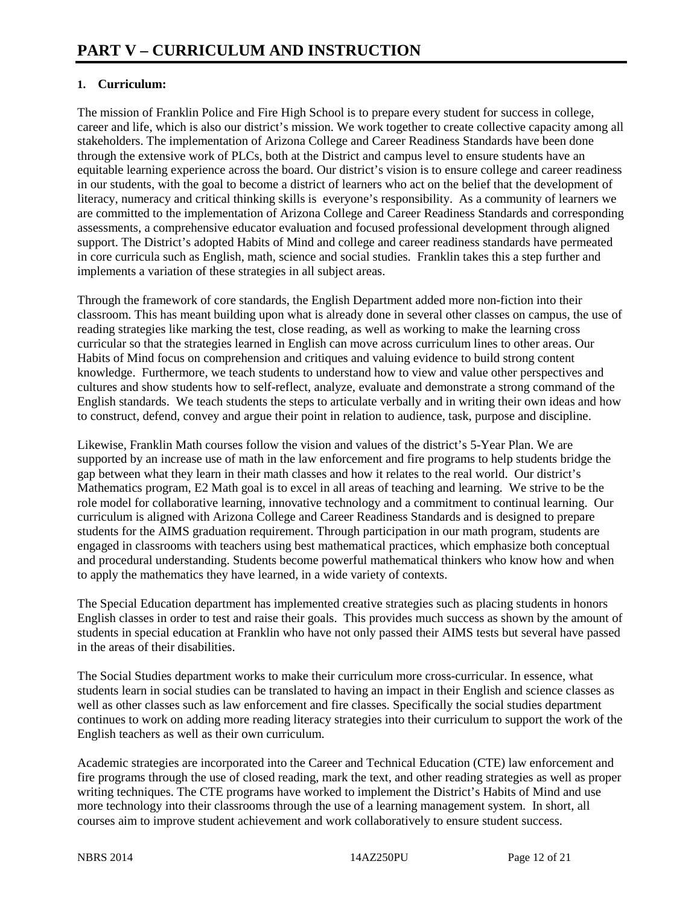#### **1. Curriculum:**

The mission of Franklin Police and Fire High School is to prepare every student for success in college, career and life, which is also our district's mission. We work together to create collective capacity among all stakeholders. The implementation of Arizona College and Career Readiness Standards have been done through the extensive work of PLCs, both at the District and campus level to ensure students have an equitable learning experience across the board. Our district's vision is to ensure college and career readiness in our students, with the goal to become a district of learners who act on the belief that the development of literacy, numeracy and critical thinking skills is everyone's responsibility. As a community of learners we are committed to the implementation of Arizona College and Career Readiness Standards and corresponding assessments, a comprehensive educator evaluation and focused professional development through aligned support. The District's adopted Habits of Mind and college and career readiness standards have permeated in core curricula such as English, math, science and social studies. Franklin takes this a step further and implements a variation of these strategies in all subject areas.

Through the framework of core standards, the English Department added more non-fiction into their classroom. This has meant building upon what is already done in several other classes on campus, the use of reading strategies like marking the test, close reading, as well as working to make the learning cross curricular so that the strategies learned in English can move across curriculum lines to other areas. Our Habits of Mind focus on comprehension and critiques and valuing evidence to build strong content knowledge. Furthermore, we teach students to understand how to view and value other perspectives and cultures and show students how to self-reflect, analyze, evaluate and demonstrate a strong command of the English standards. We teach students the steps to articulate verbally and in writing their own ideas and how to construct, defend, convey and argue their point in relation to audience, task, purpose and discipline.

Likewise, Franklin Math courses follow the vision and values of the district's 5-Year Plan. We are supported by an increase use of math in the law enforcement and fire programs to help students bridge the gap between what they learn in their math classes and how it relates to the real world. Our district's Mathematics program, E2 Math goal is to excel in all areas of teaching and learning. We strive to be the role model for collaborative learning, innovative technology and a commitment to continual learning. Our curriculum is aligned with Arizona College and Career Readiness Standards and is designed to prepare students for the AIMS graduation requirement. Through participation in our math program, students are engaged in classrooms with teachers using best mathematical practices, which emphasize both conceptual and procedural understanding. Students become powerful mathematical thinkers who know how and when to apply the mathematics they have learned, in a wide variety of contexts.

The Special Education department has implemented creative strategies such as placing students in honors English classes in order to test and raise their goals. This provides much success as shown by the amount of students in special education at Franklin who have not only passed their AIMS tests but several have passed in the areas of their disabilities.

The Social Studies department works to make their curriculum more cross-curricular. In essence, what students learn in social studies can be translated to having an impact in their English and science classes as well as other classes such as law enforcement and fire classes. Specifically the social studies department continues to work on adding more reading literacy strategies into their curriculum to support the work of the English teachers as well as their own curriculum.

Academic strategies are incorporated into the Career and Technical Education (CTE) law enforcement and fire programs through the use of closed reading, mark the text, and other reading strategies as well as proper writing techniques. The CTE programs have worked to implement the District's Habits of Mind and use more technology into their classrooms through the use of a learning management system. In short, all courses aim to improve student achievement and work collaboratively to ensure student success.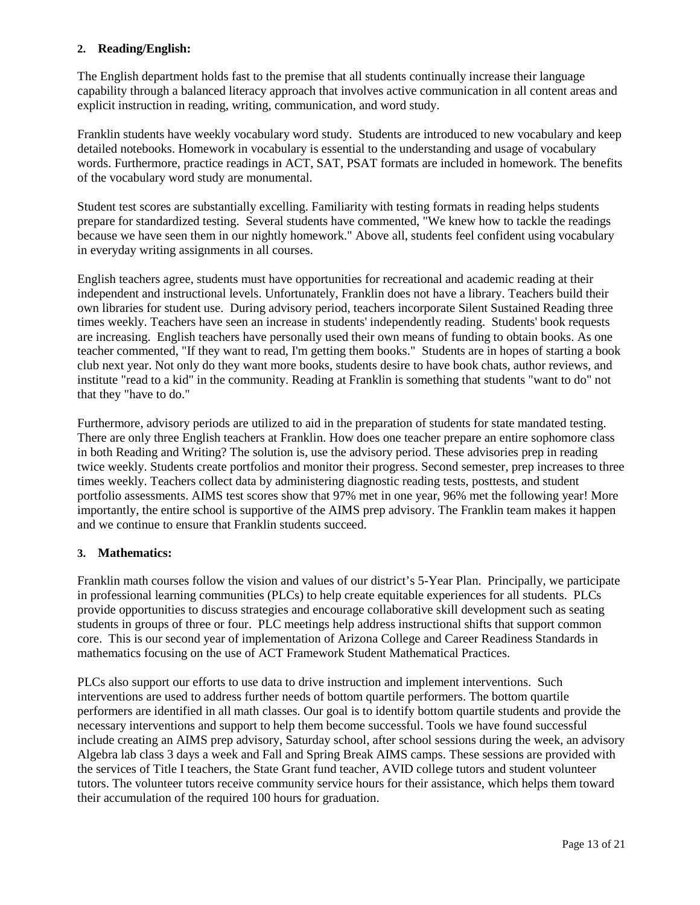#### **2. Reading/English:**

The English department holds fast to the premise that all students continually increase their language capability through a balanced literacy approach that involves active communication in all content areas and explicit instruction in reading, writing, communication, and word study.

Franklin students have weekly vocabulary word study. Students are introduced to new vocabulary and keep detailed notebooks. Homework in vocabulary is essential to the understanding and usage of vocabulary words. Furthermore, practice readings in ACT, SAT, PSAT formats are included in homework. The benefits of the vocabulary word study are monumental.

Student test scores are substantially excelling. Familiarity with testing formats in reading helps students prepare for standardized testing. Several students have commented, "We knew how to tackle the readings because we have seen them in our nightly homework." Above all, students feel confident using vocabulary in everyday writing assignments in all courses.

English teachers agree, students must have opportunities for recreational and academic reading at their independent and instructional levels. Unfortunately, Franklin does not have a library. Teachers build their own libraries for student use. During advisory period, teachers incorporate Silent Sustained Reading three times weekly. Teachers have seen an increase in students' independently reading. Students' book requests are increasing. English teachers have personally used their own means of funding to obtain books. As one teacher commented, "If they want to read, I'm getting them books." Students are in hopes of starting a book club next year. Not only do they want more books, students desire to have book chats, author reviews, and institute "read to a kid" in the community. Reading at Franklin is something that students "want to do" not that they "have to do."

Furthermore, advisory periods are utilized to aid in the preparation of students for state mandated testing. There are only three English teachers at Franklin. How does one teacher prepare an entire sophomore class in both Reading and Writing? The solution is, use the advisory period. These advisories prep in reading twice weekly. Students create portfolios and monitor their progress. Second semester, prep increases to three times weekly. Teachers collect data by administering diagnostic reading tests, posttests, and student portfolio assessments. AIMS test scores show that 97% met in one year, 96% met the following year! More importantly, the entire school is supportive of the AIMS prep advisory. The Franklin team makes it happen and we continue to ensure that Franklin students succeed.

#### **3. Mathematics:**

Franklin math courses follow the vision and values of our district's 5-Year Plan. Principally, we participate in professional learning communities (PLCs) to help create equitable experiences for all students. PLCs provide opportunities to discuss strategies and encourage collaborative skill development such as seating students in groups of three or four. PLC meetings help address instructional shifts that support common core. This is our second year of implementation of Arizona College and Career Readiness Standards in mathematics focusing on the use of ACT Framework Student Mathematical Practices.

PLCs also support our efforts to use data to drive instruction and implement interventions. Such interventions are used to address further needs of bottom quartile performers. The bottom quartile performers are identified in all math classes. Our goal is to identify bottom quartile students and provide the necessary interventions and support to help them become successful. Tools we have found successful include creating an AIMS prep advisory, Saturday school, after school sessions during the week, an advisory Algebra lab class 3 days a week and Fall and Spring Break AIMS camps. These sessions are provided with the services of Title I teachers, the State Grant fund teacher, AVID college tutors and student volunteer tutors. The volunteer tutors receive community service hours for their assistance, which helps them toward their accumulation of the required 100 hours for graduation.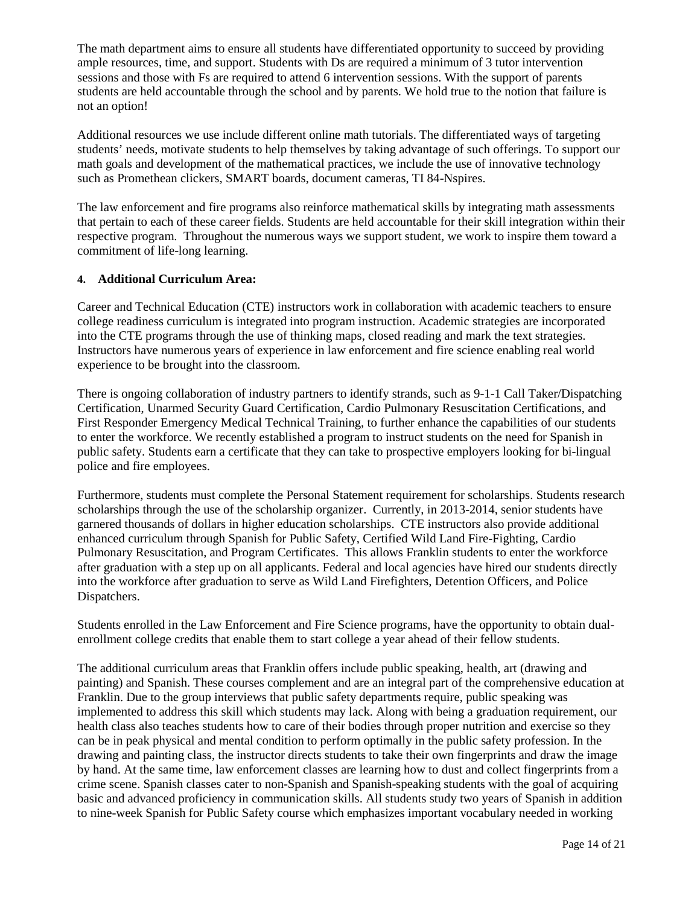The math department aims to ensure all students have differentiated opportunity to succeed by providing ample resources, time, and support. Students with Ds are required a minimum of 3 tutor intervention sessions and those with Fs are required to attend 6 intervention sessions. With the support of parents students are held accountable through the school and by parents. We hold true to the notion that failure is not an option!

Additional resources we use include different online math tutorials. The differentiated ways of targeting students' needs, motivate students to help themselves by taking advantage of such offerings. To support our math goals and development of the mathematical practices, we include the use of innovative technology such as Promethean clickers, SMART boards, document cameras, TI 84-Nspires.

The law enforcement and fire programs also reinforce mathematical skills by integrating math assessments that pertain to each of these career fields. Students are held accountable for their skill integration within their respective program. Throughout the numerous ways we support student, we work to inspire them toward a commitment of life-long learning.

#### **4. Additional Curriculum Area:**

Career and Technical Education (CTE) instructors work in collaboration with academic teachers to ensure college readiness curriculum is integrated into program instruction. Academic strategies are incorporated into the CTE programs through the use of thinking maps, closed reading and mark the text strategies. Instructors have numerous years of experience in law enforcement and fire science enabling real world experience to be brought into the classroom.

There is ongoing collaboration of industry partners to identify strands, such as 9-1-1 Call Taker/Dispatching Certification, Unarmed Security Guard Certification, Cardio Pulmonary Resuscitation Certifications, and First Responder Emergency Medical Technical Training, to further enhance the capabilities of our students to enter the workforce. We recently established a program to instruct students on the need for Spanish in public safety. Students earn a certificate that they can take to prospective employers looking for bi-lingual police and fire employees.

Furthermore, students must complete the Personal Statement requirement for scholarships. Students research scholarships through the use of the scholarship organizer. Currently, in 2013-2014, senior students have garnered thousands of dollars in higher education scholarships. CTE instructors also provide additional enhanced curriculum through Spanish for Public Safety, Certified Wild Land Fire-Fighting, Cardio Pulmonary Resuscitation, and Program Certificates. This allows Franklin students to enter the workforce after graduation with a step up on all applicants. Federal and local agencies have hired our students directly into the workforce after graduation to serve as Wild Land Firefighters, Detention Officers, and Police Dispatchers.

Students enrolled in the Law Enforcement and Fire Science programs, have the opportunity to obtain dualenrollment college credits that enable them to start college a year ahead of their fellow students.

The additional curriculum areas that Franklin offers include public speaking, health, art (drawing and painting) and Spanish. These courses complement and are an integral part of the comprehensive education at Franklin. Due to the group interviews that public safety departments require, public speaking was implemented to address this skill which students may lack. Along with being a graduation requirement, our health class also teaches students how to care of their bodies through proper nutrition and exercise so they can be in peak physical and mental condition to perform optimally in the public safety profession. In the drawing and painting class, the instructor directs students to take their own fingerprints and draw the image by hand. At the same time, law enforcement classes are learning how to dust and collect fingerprints from a crime scene. Spanish classes cater to non-Spanish and Spanish-speaking students with the goal of acquiring basic and advanced proficiency in communication skills. All students study two years of Spanish in addition to nine-week Spanish for Public Safety course which emphasizes important vocabulary needed in working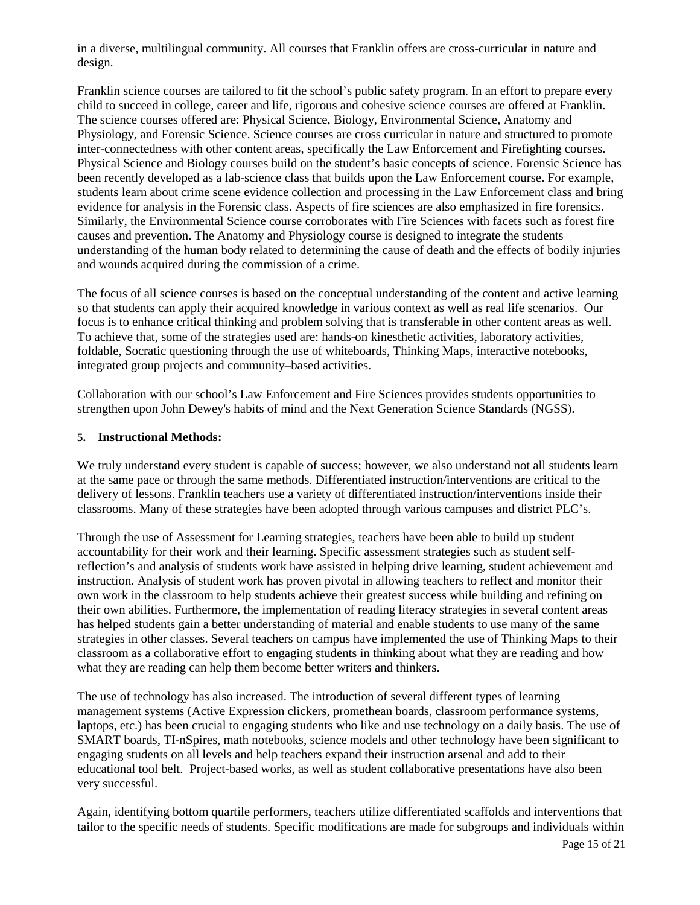in a diverse, multilingual community. All courses that Franklin offers are cross-curricular in nature and design.

Franklin science courses are tailored to fit the school's public safety program. In an effort to prepare every child to succeed in college, career and life, rigorous and cohesive science courses are offered at Franklin. The science courses offered are: Physical Science, Biology, Environmental Science, Anatomy and Physiology, and Forensic Science. Science courses are cross curricular in nature and structured to promote inter-connectedness with other content areas, specifically the Law Enforcement and Firefighting courses. Physical Science and Biology courses build on the student's basic concepts of science. Forensic Science has been recently developed as a lab-science class that builds upon the Law Enforcement course. For example, students learn about crime scene evidence collection and processing in the Law Enforcement class and bring evidence for analysis in the Forensic class. Aspects of fire sciences are also emphasized in fire forensics. Similarly, the Environmental Science course corroborates with Fire Sciences with facets such as forest fire causes and prevention. The Anatomy and Physiology course is designed to integrate the students understanding of the human body related to determining the cause of death and the effects of bodily injuries and wounds acquired during the commission of a crime.

The focus of all science courses is based on the conceptual understanding of the content and active learning so that students can apply their acquired knowledge in various context as well as real life scenarios. Our focus is to enhance critical thinking and problem solving that is transferable in other content areas as well. To achieve that, some of the strategies used are: hands-on kinesthetic activities, laboratory activities, foldable, Socratic questioning through the use of whiteboards, Thinking Maps, interactive notebooks, integrated group projects and community–based activities.

Collaboration with our school's Law Enforcement and Fire Sciences provides students opportunities to strengthen upon John Dewey's habits of mind and the Next Generation Science Standards (NGSS).

#### **5. Instructional Methods:**

We truly understand every student is capable of success; however, we also understand not all students learn at the same pace or through the same methods. Differentiated instruction/interventions are critical to the delivery of lessons. Franklin teachers use a variety of differentiated instruction/interventions inside their classrooms. Many of these strategies have been adopted through various campuses and district PLC's.

Through the use of Assessment for Learning strategies, teachers have been able to build up student accountability for their work and their learning. Specific assessment strategies such as student selfreflection's and analysis of students work have assisted in helping drive learning, student achievement and instruction. Analysis of student work has proven pivotal in allowing teachers to reflect and monitor their own work in the classroom to help students achieve their greatest success while building and refining on their own abilities. Furthermore, the implementation of reading literacy strategies in several content areas has helped students gain a better understanding of material and enable students to use many of the same strategies in other classes. Several teachers on campus have implemented the use of Thinking Maps to their classroom as a collaborative effort to engaging students in thinking about what they are reading and how what they are reading can help them become better writers and thinkers.

The use of technology has also increased. The introduction of several different types of learning management systems (Active Expression clickers, promethean boards, classroom performance systems, laptops, etc.) has been crucial to engaging students who like and use technology on a daily basis. The use of SMART boards, TI-nSpires, math notebooks, science models and other technology have been significant to engaging students on all levels and help teachers expand their instruction arsenal and add to their educational tool belt. Project-based works, as well as student collaborative presentations have also been very successful.

Again, identifying bottom quartile performers, teachers utilize differentiated scaffolds and interventions that tailor to the specific needs of students. Specific modifications are made for subgroups and individuals within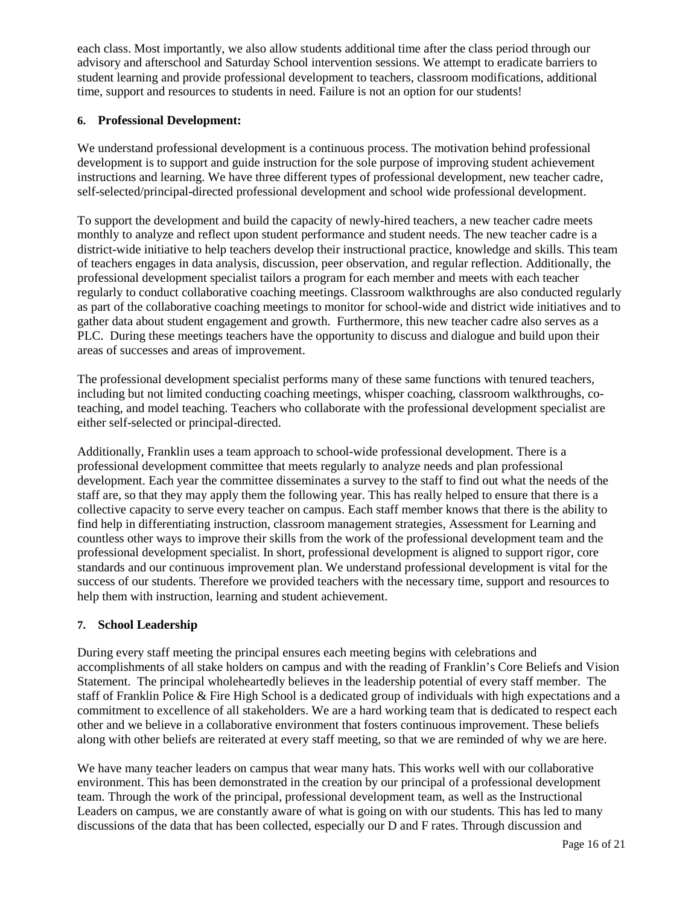each class. Most importantly, we also allow students additional time after the class period through our advisory and afterschool and Saturday School intervention sessions. We attempt to eradicate barriers to student learning and provide professional development to teachers, classroom modifications, additional time, support and resources to students in need. Failure is not an option for our students!

#### **6. Professional Development:**

We understand professional development is a continuous process. The motivation behind professional development is to support and guide instruction for the sole purpose of improving student achievement instructions and learning. We have three different types of professional development, new teacher cadre, self-selected/principal-directed professional development and school wide professional development.

To support the development and build the capacity of newly-hired teachers, a new teacher cadre meets monthly to analyze and reflect upon student performance and student needs. The new teacher cadre is a district-wide initiative to help teachers develop their instructional practice, knowledge and skills. This team of teachers engages in data analysis, discussion, peer observation, and regular reflection. Additionally, the professional development specialist tailors a program for each member and meets with each teacher regularly to conduct collaborative coaching meetings. Classroom walkthroughs are also conducted regularly as part of the collaborative coaching meetings to monitor for school-wide and district wide initiatives and to gather data about student engagement and growth. Furthermore, this new teacher cadre also serves as a PLC. During these meetings teachers have the opportunity to discuss and dialogue and build upon their areas of successes and areas of improvement.

The professional development specialist performs many of these same functions with tenured teachers, including but not limited conducting coaching meetings, whisper coaching, classroom walkthroughs, coteaching, and model teaching. Teachers who collaborate with the professional development specialist are either self-selected or principal-directed.

Additionally, Franklin uses a team approach to school-wide professional development. There is a professional development committee that meets regularly to analyze needs and plan professional development. Each year the committee disseminates a survey to the staff to find out what the needs of the staff are, so that they may apply them the following year. This has really helped to ensure that there is a collective capacity to serve every teacher on campus. Each staff member knows that there is the ability to find help in differentiating instruction, classroom management strategies, Assessment for Learning and countless other ways to improve their skills from the work of the professional development team and the professional development specialist. In short, professional development is aligned to support rigor, core standards and our continuous improvement plan. We understand professional development is vital for the success of our students. Therefore we provided teachers with the necessary time, support and resources to help them with instruction, learning and student achievement.

#### **7. School Leadership**

During every staff meeting the principal ensures each meeting begins with celebrations and accomplishments of all stake holders on campus and with the reading of Franklin's Core Beliefs and Vision Statement. The principal wholeheartedly believes in the leadership potential of every staff member. The staff of Franklin Police & Fire High School is a dedicated group of individuals with high expectations and a commitment to excellence of all stakeholders. We are a hard working team that is dedicated to respect each other and we believe in a collaborative environment that fosters continuous improvement. These beliefs along with other beliefs are reiterated at every staff meeting, so that we are reminded of why we are here.

We have many teacher leaders on campus that wear many hats. This works well with our collaborative environment. This has been demonstrated in the creation by our principal of a professional development team. Through the work of the principal, professional development team, as well as the Instructional Leaders on campus, we are constantly aware of what is going on with our students. This has led to many discussions of the data that has been collected, especially our D and F rates. Through discussion and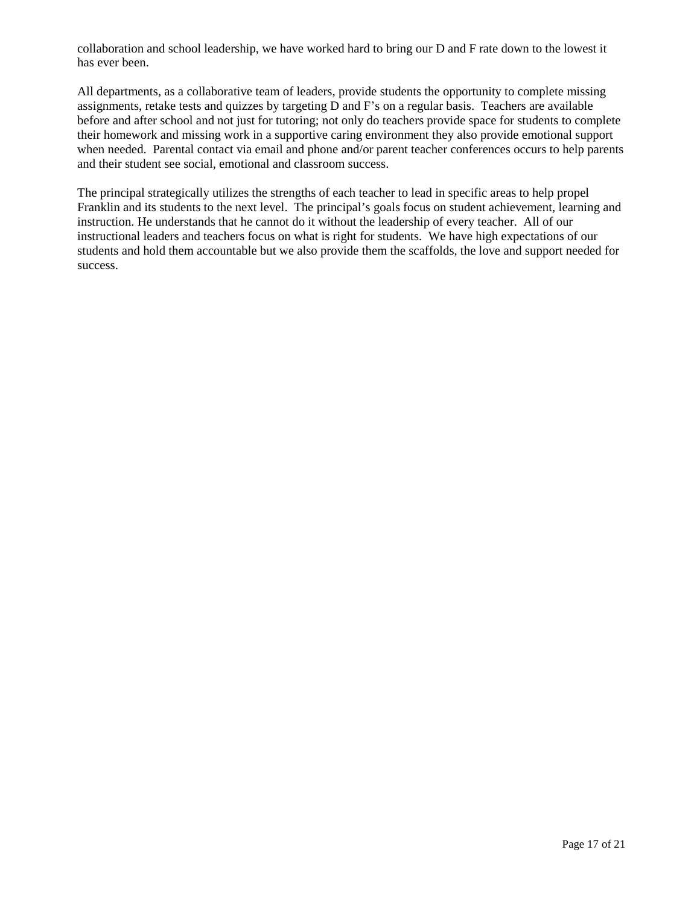collaboration and school leadership, we have worked hard to bring our D and F rate down to the lowest it has ever been.

All departments, as a collaborative team of leaders, provide students the opportunity to complete missing assignments, retake tests and quizzes by targeting D and F's on a regular basis. Teachers are available before and after school and not just for tutoring; not only do teachers provide space for students to complete their homework and missing work in a supportive caring environment they also provide emotional support when needed. Parental contact via email and phone and/or parent teacher conferences occurs to help parents and their student see social, emotional and classroom success.

The principal strategically utilizes the strengths of each teacher to lead in specific areas to help propel Franklin and its students to the next level. The principal's goals focus on student achievement, learning and instruction. He understands that he cannot do it without the leadership of every teacher. All of our instructional leaders and teachers focus on what is right for students. We have high expectations of our students and hold them accountable but we also provide them the scaffolds, the love and support needed for success.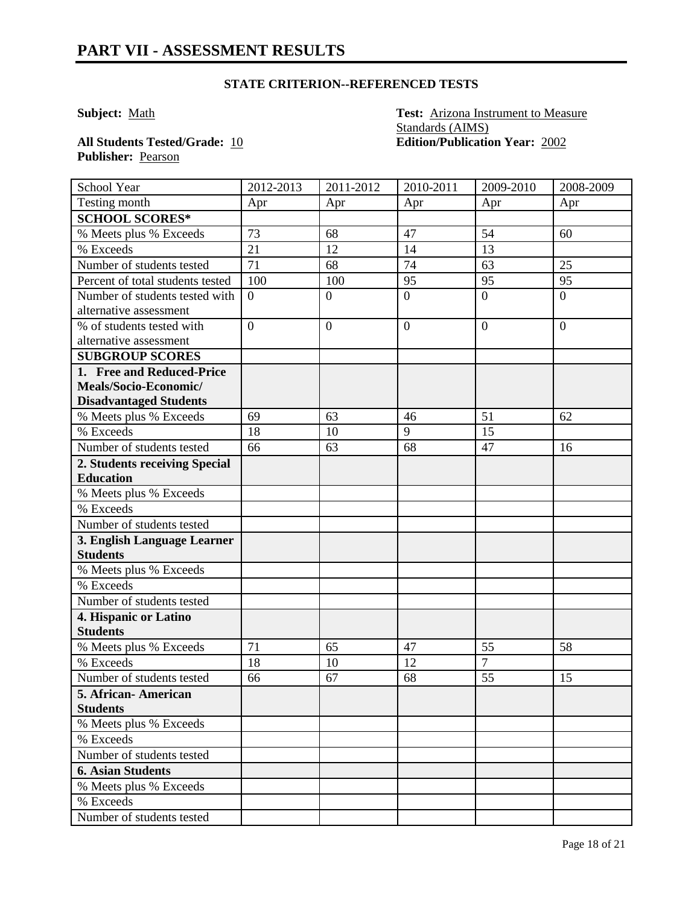#### **STATE CRITERION--REFERENCED TESTS**

**Subject:** Math **Test:** Arizona Instrument to Measure Standards (AIMS) **All Students Tested/Grade:** 10 **Edition/Publication Year:** 2002

**Publisher:** Pearson

| School Year                      | 2012-2013      | 2011-2012      | 2010-2011        | 2009-2010      | 2008-2009      |
|----------------------------------|----------------|----------------|------------------|----------------|----------------|
| Testing month                    | Apr            | Apr            | Apr              | Apr            | Apr            |
| <b>SCHOOL SCORES*</b>            |                |                |                  |                |                |
| % Meets plus % Exceeds           | 73             | 68             | 47               | 54             | 60             |
| % Exceeds                        | 21             | 12             | 14               | 13             |                |
| Number of students tested        | 71             | 68             | 74               | 63             | 25             |
| Percent of total students tested | 100            | 100            | 95               | 95             | 95             |
| Number of students tested with   | $\overline{0}$ | $\overline{0}$ | $\boldsymbol{0}$ | $\overline{0}$ | $\overline{0}$ |
| alternative assessment           |                |                |                  |                |                |
| % of students tested with        | $\overline{0}$ | $\overline{0}$ | $\overline{0}$   | $\overline{0}$ | $\overline{0}$ |
| alternative assessment           |                |                |                  |                |                |
| <b>SUBGROUP SCORES</b>           |                |                |                  |                |                |
| 1. Free and Reduced-Price        |                |                |                  |                |                |
| Meals/Socio-Economic/            |                |                |                  |                |                |
| <b>Disadvantaged Students</b>    |                |                |                  |                |                |
| % Meets plus % Exceeds           | 69             | 63             | 46               | 51             | 62             |
| $\overline{\frac{9}{6}}$ Exceeds | 18             | 10             | 9                | 15             |                |
| Number of students tested        | 66             | 63             | 68               | 47             | 16             |
| 2. Students receiving Special    |                |                |                  |                |                |
| <b>Education</b>                 |                |                |                  |                |                |
| % Meets plus % Exceeds           |                |                |                  |                |                |
| % Exceeds                        |                |                |                  |                |                |
| Number of students tested        |                |                |                  |                |                |
| 3. English Language Learner      |                |                |                  |                |                |
| <b>Students</b>                  |                |                |                  |                |                |
| % Meets plus % Exceeds           |                |                |                  |                |                |
| % Exceeds                        |                |                |                  |                |                |
| Number of students tested        |                |                |                  |                |                |
| 4. Hispanic or Latino            |                |                |                  |                |                |
| <b>Students</b>                  |                |                |                  |                |                |
| % Meets plus % Exceeds           | 71             | 65             | 47               | 55             | 58             |
| % Exceeds                        | 18             | 10             | 12               | $\overline{7}$ |                |
| Number of students tested        | 66             | 67             | 68               | 55             | 15             |
| 5. African-American              |                |                |                  |                |                |
| <b>Students</b>                  |                |                |                  |                |                |
| % Meets plus % Exceeds           |                |                |                  |                |                |
| % Exceeds                        |                |                |                  |                |                |
| Number of students tested        |                |                |                  |                |                |
| <b>6. Asian Students</b>         |                |                |                  |                |                |
| % Meets plus % Exceeds           |                |                |                  |                |                |
| % Exceeds                        |                |                |                  |                |                |
| Number of students tested        |                |                |                  |                |                |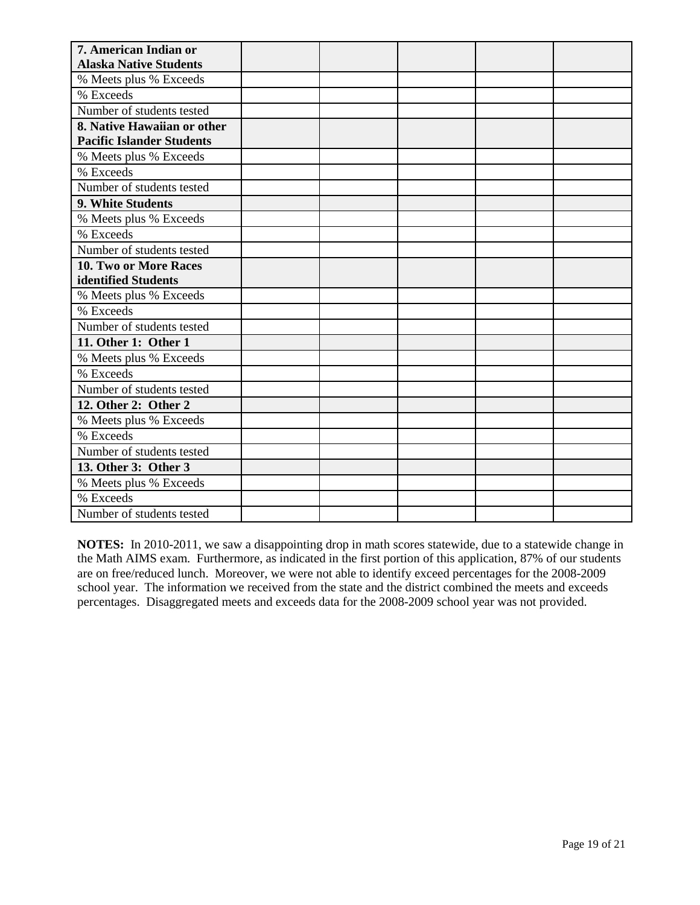| 7. American Indian or            |  |  |  |
|----------------------------------|--|--|--|
| <b>Alaska Native Students</b>    |  |  |  |
| % Meets plus % Exceeds           |  |  |  |
| % Exceeds                        |  |  |  |
| Number of students tested        |  |  |  |
| 8. Native Hawaiian or other      |  |  |  |
| <b>Pacific Islander Students</b> |  |  |  |
| % Meets plus % Exceeds           |  |  |  |
| % Exceeds                        |  |  |  |
| Number of students tested        |  |  |  |
| 9. White Students                |  |  |  |
| % Meets plus % Exceeds           |  |  |  |
| % Exceeds                        |  |  |  |
| Number of students tested        |  |  |  |
| 10. Two or More Races            |  |  |  |
| identified Students              |  |  |  |
| % Meets plus % Exceeds           |  |  |  |
| % Exceeds                        |  |  |  |
| Number of students tested        |  |  |  |
| 11. Other 1: Other 1             |  |  |  |
| % Meets plus % Exceeds           |  |  |  |
| % Exceeds                        |  |  |  |
| Number of students tested        |  |  |  |
| 12. Other 2: Other 2             |  |  |  |
| % Meets plus % Exceeds           |  |  |  |
| % Exceeds                        |  |  |  |
| Number of students tested        |  |  |  |
| 13. Other 3: Other 3             |  |  |  |
| % Meets plus % Exceeds           |  |  |  |
| % Exceeds                        |  |  |  |
| Number of students tested        |  |  |  |

**NOTES:** In 2010-2011, we saw a disappointing drop in math scores statewide, due to a statewide change in the Math AIMS exam. Furthermore, as indicated in the first portion of this application, 87% of our students are on free/reduced lunch. Moreover, we were not able to identify exceed percentages for the 2008-2009 school year. The information we received from the state and the district combined the meets and exceeds percentages. Disaggregated meets and exceeds data for the 2008-2009 school year was not provided.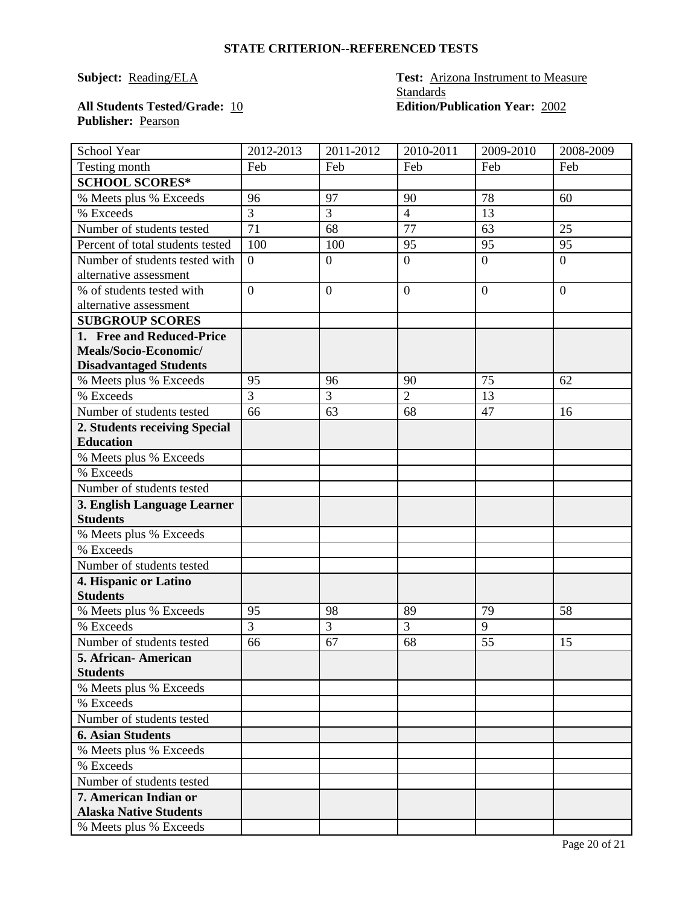#### **STATE CRITERION--REFERENCED TESTS**

# **Subject: Reading/ELA Test: Arizona Instrument to Measure Standards**<br>**Edition/Publication Year: 2002**

### **All Students Tested/Grade: 10 Publisher:** Pearson

| School Year                                    | 2012-2013      | 2011-2012      | 2010-2011      | 2009-2010        | 2008-2009      |
|------------------------------------------------|----------------|----------------|----------------|------------------|----------------|
| Testing month                                  | Feb            | Feb            | Feb            | Feb              | Feb            |
| <b>SCHOOL SCORES*</b>                          |                |                |                |                  |                |
| % Meets plus % Exceeds                         | 96             | 97             | 90             | 78               | 60             |
| % Exceeds                                      | $\overline{3}$ | 3              | $\overline{4}$ | 13               |                |
| Number of students tested                      | 71             | 68             | 77             | 63               | 25             |
| Percent of total students tested               | 100            | 100            | 95             | 95               | 95             |
| Number of students tested with                 | $\overline{0}$ | $\overline{0}$ | $\overline{0}$ | $\overline{0}$   | $\overline{0}$ |
| alternative assessment                         |                |                |                |                  |                |
| % of students tested with                      | $\overline{0}$ | $\overline{0}$ | $\overline{0}$ | $\boldsymbol{0}$ | $\theta$       |
| alternative assessment                         |                |                |                |                  |                |
| <b>SUBGROUP SCORES</b>                         |                |                |                |                  |                |
| 1. Free and Reduced-Price                      |                |                |                |                  |                |
| Meals/Socio-Economic/                          |                |                |                |                  |                |
| <b>Disadvantaged Students</b>                  |                |                |                |                  |                |
| % Meets plus % Exceeds                         | 95             | 96             | 90             | 75               | 62             |
| % Exceeds                                      | 3              | 3              | $\overline{2}$ | 13               |                |
| Number of students tested                      | 66             | 63             | 68             | 47               | 16             |
| 2. Students receiving Special                  |                |                |                |                  |                |
| <b>Education</b>                               |                |                |                |                  |                |
| % Meets plus % Exceeds                         |                |                |                |                  |                |
| % Exceeds                                      |                |                |                |                  |                |
| Number of students tested                      |                |                |                |                  |                |
| 3. English Language Learner<br><b>Students</b> |                |                |                |                  |                |
| % Meets plus % Exceeds                         |                |                |                |                  |                |
| % Exceeds                                      |                |                |                |                  |                |
| Number of students tested                      |                |                |                |                  |                |
| 4. Hispanic or Latino                          |                |                |                |                  |                |
| <b>Students</b>                                |                |                |                |                  |                |
| % Meets plus % Exceeds                         | 95             | 98             | 89             | 79               | 58             |
| % Exceeds                                      | $\overline{3}$ | $\overline{3}$ | 3              | $\overline{9}$   |                |
| Number of students tested                      | 66             | 67             | 68             | 55               | 15             |
| 5. African-American                            |                |                |                |                  |                |
| <b>Students</b>                                |                |                |                |                  |                |
| % Meets plus % Exceeds                         |                |                |                |                  |                |
| % Exceeds                                      |                |                |                |                  |                |
| Number of students tested                      |                |                |                |                  |                |
| <b>6. Asian Students</b>                       |                |                |                |                  |                |
| % Meets plus % Exceeds                         |                |                |                |                  |                |
| % Exceeds                                      |                |                |                |                  |                |
| Number of students tested                      |                |                |                |                  |                |
| 7. American Indian or                          |                |                |                |                  |                |
| <b>Alaska Native Students</b>                  |                |                |                |                  |                |
| % Meets plus % Exceeds                         |                |                |                |                  |                |